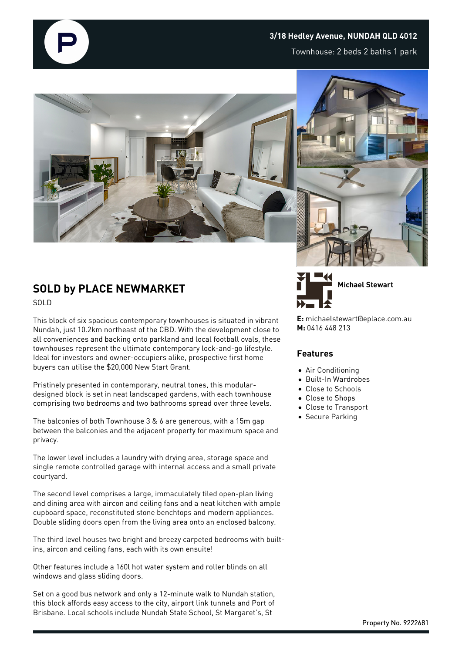

Townhouse: 2 beds 2 baths 1 park



## **SOLD by PLACE NEWMARKET** SOLD

This block of six spacious contemporary townhouses is situated in vibrant Nundah, just 10.2km northeast of the CBD. With the development close to all conveniences and backing onto parkland and local football ovals, these townhouses represent the ultimate contemporary lock-and-go lifestyle. Ideal for investors and owner-occupiers alike, prospective first home buyers can utilise the \$20,000 New Start Grant.

Pristinely presented in contemporary, neutral tones, this modulardesigned block is set in neat landscaped gardens, with each townhouse comprising two bedrooms and two bathrooms spread over three levels.

The balconies of both Townhouse 3 & 6 are generous, with a 15m gap between the balconies and the adjacent property for maximum space and privacy.

The lower level includes a laundry with drying area, storage space and single remote controlled garage with internal access and a small private courtyard.

The second level comprises a large, immaculately tiled open-plan living and dining area with aircon and ceiling fans and a neat kitchen with ample cupboard space, reconstituted stone benchtops and modern appliances. Double sliding doors open from the living area onto an enclosed balcony.

The third level houses two bright and breezy carpeted bedrooms with builtins, aircon and ceiling fans, each with its own ensuite!

Other features include a 160l hot water system and roller blinds on all windows and glass sliding doors.

Set on a good bus network and only a 12-minute walk to Nundah station, this block affords easy access to the city, airport link tunnels and Port of Brisbane. Local schools include Nundah State School, St Margaret's, St





**E:** michaelstewart@eplace.com.au **M:** 0416 448 213

## **Features**

- Air Conditioning
- Built-In Wardrobes
- Close to Schools
- Close to Shops
- Close to Transport
- **Secure Parking**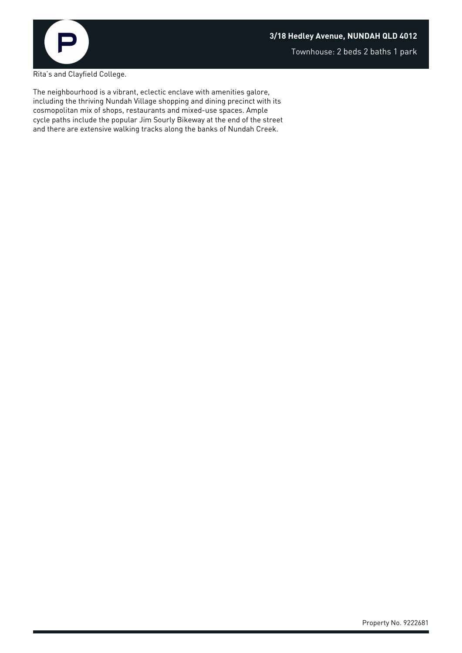

Rita's and Clayfield College.

The neighbourhood is a vibrant, eclectic enclave with amenities galore, including the thriving Nundah Village shopping and dining precinct with its cosmopolitan mix of shops, restaurants and mixed-use spaces. Ample cycle paths include the popular Jim Sourly Bikeway at the end of the street and there are extensive walking tracks along the banks of Nundah Creek.